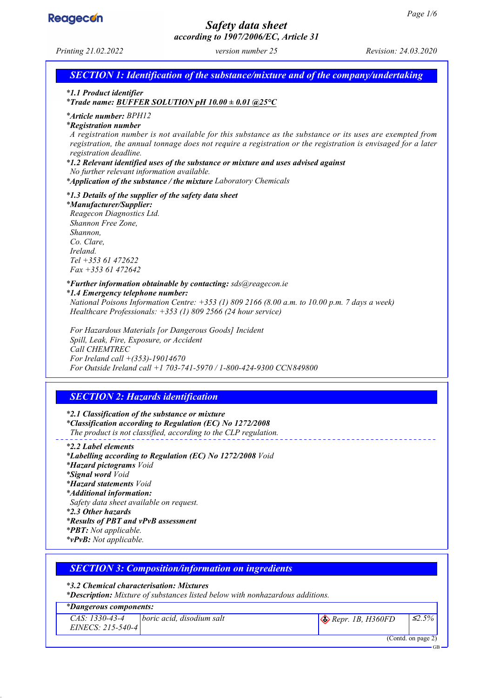GB



# *Safety data sheet according to 1907/2006/EC, Article 31*

*Printing 21.02.2022 version number 25 Revision: 24.03.2020*

*SECTION 1: Identification of the substance/mixture and of the company/undertaking*

*\* 1.1 Product identifier*

*\* Trade name: BUFFER SOLUTION pH 10.00 ± 0.01 @25°C*

*\* Article number: BPH12*

*\* Registration number*

*A registration number is not available for this substance as the substance or its uses are exempted from registration, the annual tonnage does not require a registration or the registration is envisaged for a later registration deadline.*

*\* 1.2 Relevant identified uses of the substance or mixture and uses advised against*

*No further relevant information available.*

*\* Application of the substance / the mixture Laboratory Chemicals*

*\* 1.3 Details of the supplier of the safety data sheet*

*\* Manufacturer/Supplier:*

*Reagecon Diagnostics Ltd. Shannon Free Zone, Shannon, Co. Clare, Ireland. Tel +353 61 472622 Fax +353 61 472642*

*\* Further information obtainable by contacting: sds@reagecon.ie*

*\* 1.4 Emergency telephone number: National Poisons Information Centre: +353 (1) 809 2166 (8.00 a.m. to 10.00 p.m. 7 days a week) Healthcare Professionals: +353 (1) 809 2566 (24 hour service)*

*For Hazardous Materials [or Dangerous Goods] Incident Spill, Leak, Fire, Exposure, or Accident Call CHEMTREC For Ireland call +(353)-19014670 For Outside Ireland call +1 703-741-5970 / 1-800-424-9300 CCN849800*

# *SECTION 2: Hazards identification*

*\* 2.1 Classification of the substance or mixture \* Classification according to Regulation (EC) No 1272/2008 The product is not classified, according to the CLP regulation.*

*\* 2.2 Label elements \* Labelling according to Regulation (EC) No 1272/2008 Void \* Hazard pictograms Void \* Signal word Void \* Hazard statements Void \* Additional information: Safety data sheet available on request. \* 2.3 Other hazards \* Results of PBT and vPvB assessment \* PBT: Not applicable. \* vPvB: Not applicable.*

| <b>SECTION 3: Composition/information on ingredients</b>                             |  |
|--------------------------------------------------------------------------------------|--|
| *3.2 Chemical characterisation: Mixtures                                             |  |
| <b>*Description:</b> Mixture of substances listed below with nonhazardous additions. |  |

#### *\* Dangerous components:*

| CAS: 1330-43-4<br>$EINECS: 215-540-4$ | boric acid, disodium salt | $\otimes$ Repr. 1B, H360FD | $\leq 2.5\%$ |
|---------------------------------------|---------------------------|----------------------------|--------------|
| (Contd. on page 2)                    |                           |                            |              |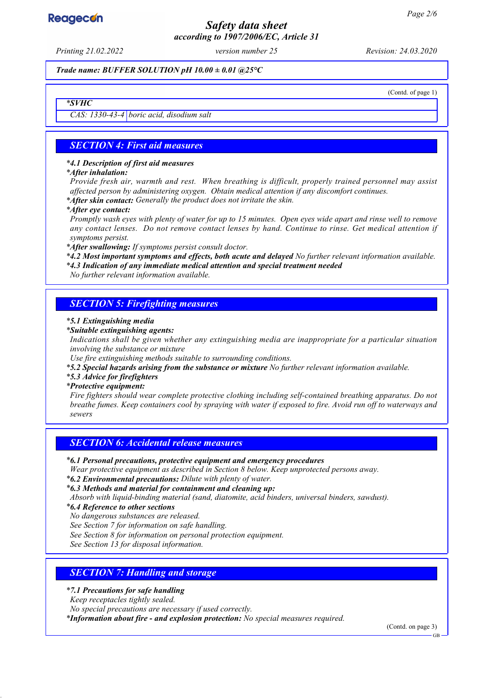# *Safety data sheet according to 1907/2006/EC, Article 31*

*Printing 21.02.2022 version number 25 Revision: 24.03.2020*

*Trade name: BUFFER SOLUTION pH 10.00 ± 0.01 @25°C*

(Contd. of page 1)

*\* SVHC*

*CAS: 1330-43-4 boric acid, disodium salt*

### *SECTION 4: First aid measures*

#### *\* 4.1 Description of first aid measures*

#### *\* After inhalation:*

*Provide fresh air, warmth and rest. When breathing is difficult, properly trained personnel may assist affected person by administering oxygen. Obtain medical attention if any discomfort continues. \* After skin contact: Generally the product does not irritate the skin.*

#### *\* After eye contact:*

*Promptly wash eyes with plenty of water for up to 15 minutes. Open eyes wide apart and rinse well to remove any contact lenses. Do not remove contact lenses by hand. Continue to rinse. Get medical attention if symptoms persist.*

*\* After swallowing: If symptoms persist consult doctor.*

*\* 4.2 Most important symptoms and effects, both acute and delayed No further relevant information available. \* 4.3 Indication of any immediate medical attention and special treatment needed*

*No further relevant information available.*

## *SECTION 5: Firefighting measures*

#### *\* 5.1 Extinguishing media*

*\* Suitable extinguishing agents:*

*Indications shall be given whether any extinguishing media are inappropriate for a particular situation involving the substance or mixture*

*Use fire extinguishing methods suitable to surrounding conditions.*

*\* 5.2 Special hazards arising from the substance or mixture No further relevant information available.*

*\* 5.3 Advice for firefighters*

#### *\* Protective equipment:*

*Fire fighters should wear complete protective clothing including self-contained breathing apparatus. Do not breathe fumes. Keep containers cool by spraying with water if exposed to fire. Avoid run off to waterways and sewers*

#### *SECTION 6: Accidental release measures*

#### *\* 6.1 Personal precautions, protective equipment and emergency procedures*

*Wear protective equipment as described in Section 8 below. Keep unprotected persons away.*

*\* 6.2 Environmental precautions: Dilute with plenty of water.*

*Absorb with liquid-binding material (sand, diatomite, acid binders, universal binders, sawdust).*

*\* 6.4 Reference to other sections*

*No dangerous substances are released.*

*See Section 7 for information on safe handling.*

*See Section 8 for information on personal protection equipment.*

*See Section 13 for disposal information.*

### *SECTION 7: Handling and storage*

#### *\* 7.1 Precautions for safe handling*

*Keep receptacles tightly sealed.*

*No special precautions are necessary if used correctly.*

*\* Information about fire - and explosion protection: No special measures required.*

(Contd. on page 3)

*<sup>\*</sup> 6.3 Methods and material for containment and cleaning up:*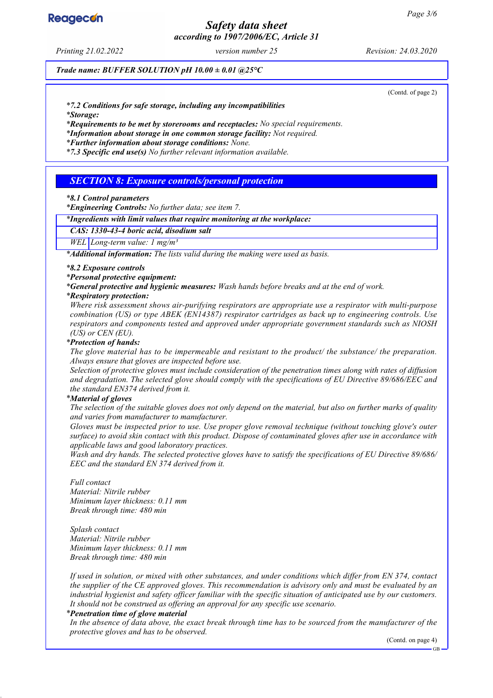# *Safety data sheet according to 1907/2006/EC, Article 31*

*Printing 21.02.2022 version number 25 Revision: 24.03.2020*

*Trade name: BUFFER SOLUTION pH 10.00 ± 0.01 @25°C*

(Contd. of page 2)

*\* 7.2 Conditions for safe storage, including any incompatibilities*

*\* Storage:*

*\* Requirements to be met by storerooms and receptacles: No special requirements.*

*\* Information about storage in one common storage facility: Not required.*

*\* Further information about storage conditions: None.*

*\* 7.3 Specific end use(s) No further relevant information available.*

### *SECTION 8: Exposure controls/personal protection*

#### *\* 8.1 Control parameters*

*\* Engineering Controls: No further data; see item 7.*

#### *\* Ingredients with limit values that require monitoring at the workplace:*

*CAS: 1330-43-4 boric acid, disodium salt*

*WEL Long-term value: 1 mg/m³*

*\* Additional information: The lists valid during the making were used as basis.*

#### *\* 8.2 Exposure controls*

*\* Personal protective equipment:*

*\* General protective and hygienic measures: Wash hands before breaks and at the end of work.*

#### *\* Respiratory protection:*

*Where risk assessment shows air-purifying respirators are appropriate use a respirator with multi-purpose combination (US) or type ABEK (EN14387) respirator cartridges as back up to engineering controls. Use respirators and components tested and approved under appropriate government standards such as NIOSH (US) or CEN (EU).*

#### *\* Protection of hands:*

*The glove material has to be impermeable and resistant to the product/ the substance/ the preparation. Always ensure that gloves are inspected before use.*

*Selection of protective gloves must include consideration of the penetration times along with rates of diffusion and degradation. The selected glove should comply with the specifications of EU Directive 89/686/EEC and the standard EN374 derived from it.*

#### *\* Material of gloves*

*The selection of the suitable gloves does not only depend on the material, but also on further marks of quality and varies from manufacturer to manufacturer.*

*Gloves must be inspected prior to use. Use proper glove removal technique (without touching glove's outer surface) to avoid skin contact with this product. Dispose of contaminated gloves after use in accordance with applicable laws and good laboratory practices.*

*Wash and dry hands. The selected protective gloves have to satisfy the specifications of EU Directive 89/686/ EEC and the standard EN 374 derived from it.*

#### *Full contact*

*Material: Nitrile rubber Minimum layer thickness: 0.11 mm Break through time: 480 min*

*Splash contact Material: Nitrile rubber Minimum layer thickness: 0.11 mm Break through time: 480 min*

*If used in solution, or mixed with other substances, and under conditions which differ from EN 374, contact the supplier of the CE approved gloves. This recommendation is advisory only and must be evaluated by an industrial hygienist and safety officer familiar with the specific situation of anticipated use by our customers. It should not be construed as offering an approval for any specific use scenario.*

#### *\* Penetration time of glove material*

*In the absence of data above, the exact break through time has to be sourced from the manufacturer of the protective gloves and has to be observed.*

(Contd. on page 4)

**Reagecon**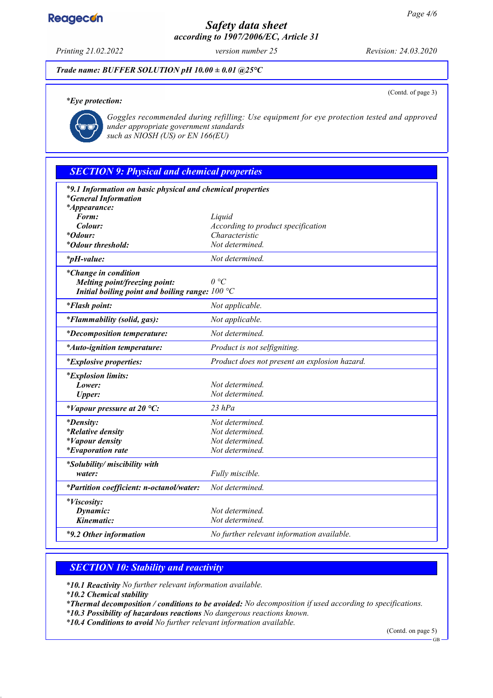# *Safety data sheet according to 1907/2006/EC, Article 31*

*Printing 21.02.2022 version number 25 Revision: 24.03.2020*

(Contd. of page 3)

*Trade name: BUFFER SOLUTION pH 10.00 ± 0.01 @25°C*

#### *\* Eye protection:*



*Goggles recommended during refilling: Use equipment for eye protection tested and approved under appropriate government standards such as NIOSH (US) or EN 166(EU)*

# *SECTION 9: Physical and chemical properties*

| *9.1 Information on basic physical and chemical properties |                                               |  |
|------------------------------------------------------------|-----------------------------------------------|--|
| <i>*General Information</i><br><i>*Appearance:</i>         |                                               |  |
| Form:                                                      | Liquid                                        |  |
| Colour:                                                    | According to product specification            |  |
| $*Odour:$                                                  | Characteristic                                |  |
| <i>*Odour threshold:</i>                                   | Not determined.                               |  |
|                                                            |                                               |  |
| <i>*pH-value:</i>                                          | Not determined.                               |  |
| <i>*Change in condition</i>                                |                                               |  |
| Melting point/freezing point:                              | $\theta$ °C                                   |  |
| Initial boiling point and boiling range: $100 °C$          |                                               |  |
| <i>*Flash point:</i>                                       | Not applicable.                               |  |
| *Flammability (solid, gas):                                | Not applicable.                               |  |
| <i>*Decomposition temperature:</i>                         | Not determined.                               |  |
| <i>*Auto-ignition temperature:</i>                         | Product is not selfigniting.                  |  |
| <i>*Explosive properties:</i>                              | Product does not present an explosion hazard. |  |
| <i>*Explosion limits:</i>                                  |                                               |  |
| Lower:                                                     | Not determined.                               |  |
| <b>Upper:</b>                                              | Not determined.                               |  |
| *Vapour pressure at 20 $^{\circ}C$ :                       | $23$ hPa                                      |  |
| <i>*Density:</i>                                           | Not determined.                               |  |
| <i>*Relative density</i>                                   | Not determined.                               |  |
| <i>*Vapour density</i>                                     | Not determined.                               |  |
| <i>*Evaporation rate</i>                                   | Not determined.                               |  |
| *Solubility/ miscibility with                              |                                               |  |
| water:                                                     | Fully miscible.                               |  |
| *Partition coefficient: n-octanol/water:                   | Not determined.                               |  |
| *Viscosity:                                                |                                               |  |
| Dynamic:                                                   | Not determined.                               |  |
| Kinematic:                                                 | Not determined.                               |  |
| *9.2 Other information                                     | No further relevant information available.    |  |

# *SECTION 10: Stability and reactivity*

*\* 10.1 Reactivity No further relevant information available.*

*\* 10.2 Chemical stability*

*\* Thermal decomposition / conditions to be avoided: No decomposition if used according to specifications.*

*\* 10.3 Possibility of hazardous reactions No dangerous reactions known. \* 10.4 Conditions to avoid No further relevant information available.*

(Contd. on page 5)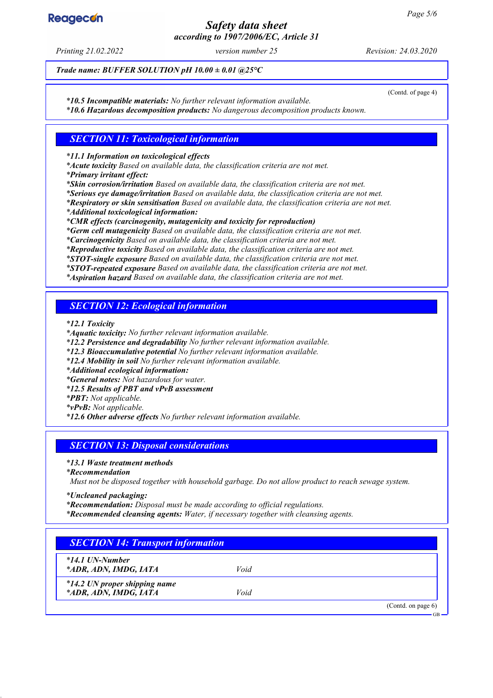# *Safety data sheet according to 1907/2006/EC, Article 31*

*Printing 21.02.2022 version number 25 Revision: 24.03.2020*

*Trade name: BUFFER SOLUTION pH 10.00 ± 0.01 @25°C*

(Contd. of page 4)

*\* 10.5 Incompatible materials: No further relevant information available. \* 10.6 Hazardous decomposition products: No dangerous decomposition products known.*

### *SECTION 11: Toxicological information*

*\* 11.1 Information on toxicological effects*

*\* Acute toxicity Based on available data, the classification criteria are not met.*

*\* Primary irritant effect:*

*\* Skin corrosion/irritation Based on available data, the classification criteria are not met.*

*\* Serious eye damage/irritation Based on available data, the classification criteria are not met.*

*\* Respiratory or skin sensitisation Based on available data, the classification criteria are not met.*

*\* Additional toxicological information:*

*\* CMR effects (carcinogenity, mutagenicity and toxicity for reproduction)*

*\* Germ cell mutagenicity Based on available data, the classification criteria are not met.*

*\* Carcinogenicity Based on available data, the classification criteria are not met.*

*\* Reproductive toxicity Based on available data, the classification criteria are not met.*

*\* STOT-single exposure Based on available data, the classification criteria are not met.*

*\* STOT-repeated exposure Based on available data, the classification criteria are not met.*

*\* Aspiration hazard Based on available data, the classification criteria are not met.*

### *SECTION 12: Ecological information*

*\* 12.1 Toxicity*

*\* Aquatic toxicity: No further relevant information available.*

*\* 12.2 Persistence and degradability No further relevant information available.*

*\* 12.3 Bioaccumulative potential No further relevant information available.*

*\* 12.4 Mobility in soil No further relevant information available.*

*\* Additional ecological information:*

*\* General notes: Not hazardous for water.*

*\* 12.5 Results of PBT and vPvB assessment*

*\* PBT: Not applicable.*

*\* vPvB: Not applicable.*

*\* 12.6 Other adverse effects No further relevant information available.*

### *SECTION 13: Disposal considerations*

*\* 13.1 Waste treatment methods*

*\* Recommendation*

*Must not be disposed together with household garbage. Do not allow product to reach sewage system.*

*\* Uncleaned packaging:*

*\* Recommendation: Disposal must be made according to official regulations.*

*\* Recommended cleansing agents: Water, if necessary together with cleansing agents.*

# *SECTION 14: Transport information*

*\* 14.1 UN-Number*

*\* ADR, ADN, IMDG, IATA Void*

*\* 14.2 UN proper shipping name \* ADR, ADN, IMDG, IATA Void*

(Contd. on page 6)